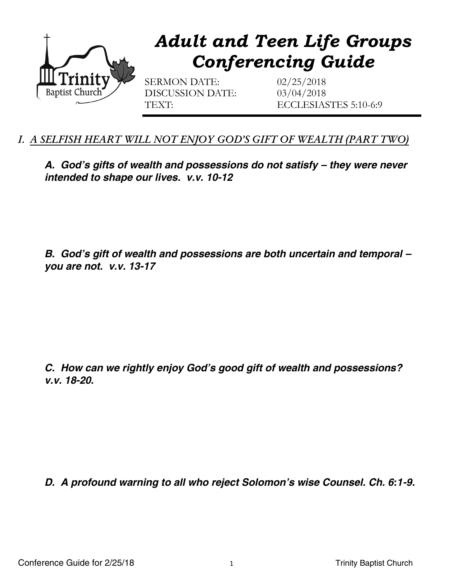

## *I. A SELFISH HEART WILL NOT ENJOY GOD'S GIFT OF WEALTH (PART TWO)*

*A. God's gifts of wealth and possessions do not satisfy – they were never intended to shape our lives. v.v. 10-12*

*B. God's gift of wealth and possessions are both uncertain and temporal – you are not. v.v. 13-17*

*C. How can we rightly enjoy God's good gift of wealth and possessions? v.v. 18-20.* 

*D. A profound warning to all who reject Solomon's wise Counsel. Ch. 6:1-9.*